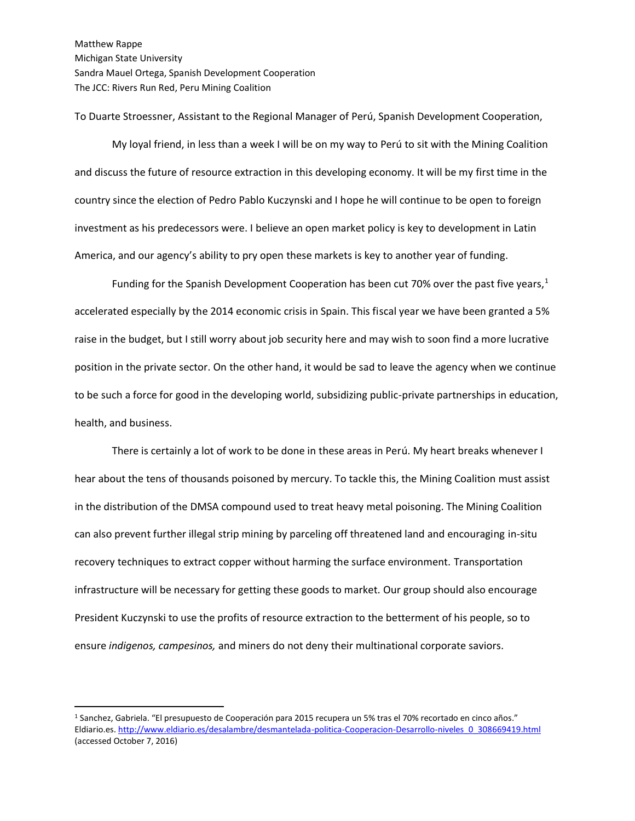Matthew Rappe Michigan State University Sandra Mauel Ortega, Spanish Development Cooperation The JCC: Rivers Run Red, Peru Mining Coalition

To Duarte Stroessner, Assistant to the Regional Manager of Perú, Spanish Development Cooperation,

My loyal friend, in less than a week I will be on my way to Perú to sit with the Mining Coalition and discuss the future of resource extraction in this developing economy. It will be my first time in the country since the election of Pedro Pablo Kuczynski and I hope he will continue to be open to foreign investment as his predecessors were. I believe an open market policy is key to development in Latin America, and our agency's ability to pry open these markets is key to another year of funding.

Funding for the Spanish Development Cooperation has been cut 70% over the past five years, $1$ accelerated especially by the 2014 economic crisis in Spain. This fiscal year we have been granted a 5% raise in the budget, but I still worry about job security here and may wish to soon find a more lucrative position in the private sector. On the other hand, it would be sad to leave the agency when we continue to be such a force for good in the developing world, subsidizing public-private partnerships in education, health, and business.

There is certainly a lot of work to be done in these areas in Perú. My heart breaks whenever I hear about the tens of thousands poisoned by mercury. To tackle this, the Mining Coalition must assist in the distribution of the DMSA compound used to treat heavy metal poisoning. The Mining Coalition can also prevent further illegal strip mining by parceling off threatened land and encouraging in-situ recovery techniques to extract copper without harming the surface environment. Transportation infrastructure will be necessary for getting these goods to market. Our group should also encourage President Kuczynski to use the profits of resource extraction to the betterment of his people, so to ensure *indigenos, campesinos,* and miners do not deny their multinational corporate saviors.

 $\overline{a}$ 

<sup>1</sup> Sanchez, Gabriela. "El presupuesto de Cooperación para 2015 recupera un 5% tras el 70% recortado en cinco años." Eldiario.es[. http://www.eldiario.es/desalambre/desmantelada-politica-Cooperacion-Desarrollo-niveles\\_0\\_308669419.html](http://www.eldiario.es/desalambre/desmantelada-politica-Cooperacion-Desarrollo-niveles_0_308669419.html) (accessed October 7, 2016)